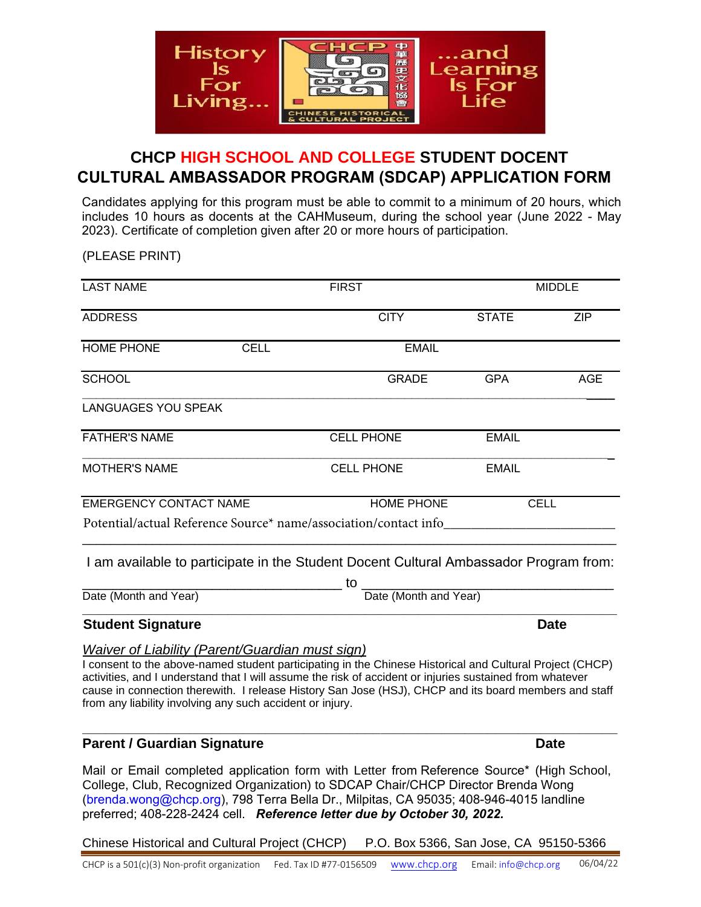

## **CHCP HIGH SCHOOL AND COLLEGE STUDENT DOCENT CULTURAL AMBASSADOR PROGRAM (SDCAP) APPLICATION FORM**

Candidates applying for this program must be able to commit to a minimum of 20 hours, which includes 10 hours as docents at the CAHMuseum, during the school year (June 2022 - May 2023). Certificate of completion given after 20 or more hours of participation.

(PLEASE PRINT)

| <b>LAST NAME</b>                                                                                                                                                                                                                                                                                                                                                                                                                                     |             | <b>FIRST</b>                                                                       |              | <b>MIDDLE</b> |  |
|------------------------------------------------------------------------------------------------------------------------------------------------------------------------------------------------------------------------------------------------------------------------------------------------------------------------------------------------------------------------------------------------------------------------------------------------------|-------------|------------------------------------------------------------------------------------|--------------|---------------|--|
| <b>ADDRESS</b>                                                                                                                                                                                                                                                                                                                                                                                                                                       |             | <b>CITY</b>                                                                        | <b>STATE</b> | <b>ZIP</b>    |  |
| <b>HOME PHONE</b>                                                                                                                                                                                                                                                                                                                                                                                                                                    | <b>CELL</b> | <b>EMAIL</b>                                                                       |              |               |  |
| <b>SCHOOL</b>                                                                                                                                                                                                                                                                                                                                                                                                                                        |             | <b>GRADE</b>                                                                       | <b>GPA</b>   | <b>AGE</b>    |  |
| <b>LANGUAGES YOU SPEAK</b>                                                                                                                                                                                                                                                                                                                                                                                                                           |             |                                                                                    |              |               |  |
| <b>FATHER'S NAME</b>                                                                                                                                                                                                                                                                                                                                                                                                                                 |             | <b>CELL PHONE</b>                                                                  | <b>EMAIL</b> |               |  |
| <b>MOTHER'S NAME</b>                                                                                                                                                                                                                                                                                                                                                                                                                                 |             | <b>CELL PHONE</b>                                                                  | <b>EMAIL</b> |               |  |
| <b>EMERGENCY CONTACT NAME</b>                                                                                                                                                                                                                                                                                                                                                                                                                        |             | <b>HOME PHONE</b>                                                                  |              | <b>CELL</b>   |  |
| Potential/actual Reference Source* name/association/contact info                                                                                                                                                                                                                                                                                                                                                                                     |             |                                                                                    |              |               |  |
| I am available to participate in the Student Docent Cultural Ambassador Program from:                                                                                                                                                                                                                                                                                                                                                                |             |                                                                                    |              |               |  |
|                                                                                                                                                                                                                                                                                                                                                                                                                                                      |             | to Date (Month and Year)                                                           |              |               |  |
| Date (Month and Year)                                                                                                                                                                                                                                                                                                                                                                                                                                |             |                                                                                    |              |               |  |
| <b>Student Signature</b>                                                                                                                                                                                                                                                                                                                                                                                                                             |             |                                                                                    |              | Date          |  |
| <b>Waiver of Liability (Parent/Guardian must sign)</b><br>I consent to the above-named student participating in the Chinese Historical and Cultural Project (CHCP)<br>activities, and I understand that I will assume the risk of accident or injuries sustained from whatever<br>cause in connection therewith. I release History San Jose (HSJ), CHCP and its board members and staff<br>from any liability involving any such accident or injury. |             |                                                                                    |              |               |  |
| <b>Parent / Guardian Signature</b>                                                                                                                                                                                                                                                                                                                                                                                                                   |             |                                                                                    |              | <b>Date</b>   |  |
| Mail or Email completed application form with Letter from Reference Source* (High School,                                                                                                                                                                                                                                                                                                                                                            |             | $\sim$ . Only December 1 Opportunities to ODOAD Obstate Otto the state December M. |              |               |  |

College, Club, Recognized Organization) to SDCAP Chair/CHCP Director Brenda Wong (brenda.wong@chcp.org), 798 Terra Bella Dr., Milpitas, CA 95035; 408-946-4015 landline preferred; 408-228-2424 cell. *Reference letter due by October 30, 2022.*

Chinese Historical and Cultural Project (CHCP) P.O. Box 5366, San Jose, CA 95150-5366